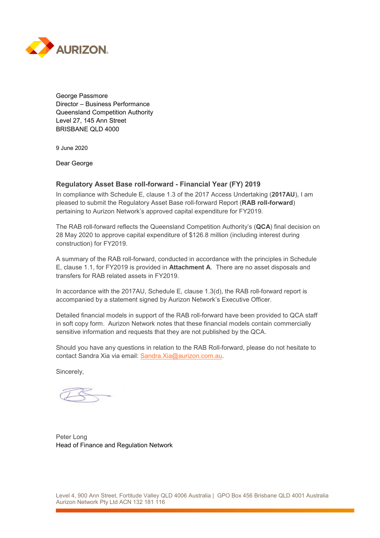

George Passmore Director – Business Performance Queensland Competition Authority Level 27, 145 Ann Street BRISBANE QLD 4000

9 June 2020

Dear George

## **Regulatory Asset Base roll-forward - Financial Year (FY) 2019**

In compliance with Schedule E, clause 1.3 of the 2017 Access Undertaking (**2017AU**), I am pleased to submit the Regulatory Asset Base roll-forward Report (**RAB roll-forward**) pertaining to Aurizon Network's approved capital expenditure for FY2019.

The RAB roll-forward reflects the Queensland Competition Authority's (**QCA**) final decision on 28 May 2020 to approve capital expenditure of \$126.8 million (including interest during construction) for FY2019.

A summary of the RAB roll-forward, conducted in accordance with the principles in Schedule E, clause 1.1, for FY2019 is provided in **Attachment A**. There are no asset disposals and transfers for RAB related assets in FY2019.

In accordance with the 2017AU, Schedule E, clause 1.3(d), the RAB roll-forward report is accompanied by a statement signed by Aurizon Network's Executive Officer.

Detailed financial models in support of the RAB roll-forward have been provided to QCA staff in soft copy form. Aurizon Network notes that these financial models contain commercially sensitive information and requests that they are not published by the QCA.

Should you have any questions in relation to the RAB Roll-forward, please do not hesitate to contact Sandra Xia via email: [Sandra.Xia@aurizon.com.au.](mailto:Sandra.Xia@aurizon.com.au)

Sincerely,

Peter Long Head of Finance and Regulation Network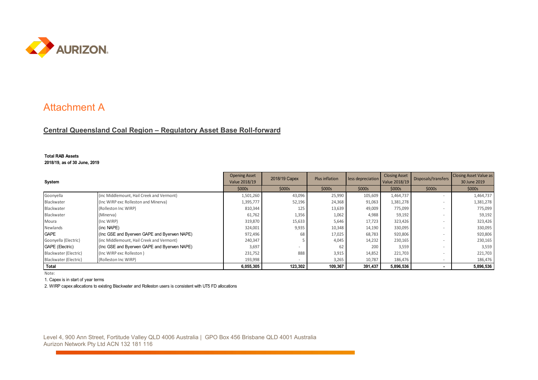

## Attachment A

## **Central Queensland Coal Region – Regulatory Asset Base Roll-forward**

## **Total RAB Assets 2018/19, as of 30 June, 2019**

| System                |                                             | <b>Opening Asset</b><br>Value 2018/19 | 2018/19 Capex | <b>Plus inflation</b> | less depreciation | <b>Closing Asset</b><br>Value 2018/19 | Disposals/transfers      | <b>Closing Asset Value as</b><br>30 June 2019 |
|-----------------------|---------------------------------------------|---------------------------------------|---------------|-----------------------|-------------------|---------------------------------------|--------------------------|-----------------------------------------------|
|                       |                                             | \$000s                                | \$000s        | \$000s                | \$000s            | \$000s                                | \$000s                   | \$000s                                        |
| Goonyella             | (inc Middlemount, Hail Creek and Vermont)   | 1,501,260                             | 43,096        | 25,990                | 105,609           | 1,464,737                             |                          | 1,464,737                                     |
| Blackwater            | (Inc WIRP exc Rolleston and Minerva)        | 1,395,777                             | 52,196        | 24,368                | 91,063            | 1,381,278                             | $\overline{\phantom{a}}$ | 1,381,278                                     |
| Blackwater            | (Rolleston Inc WIRP)                        | 810,344                               | 125           | 13,639                | 49,009            | 775,099                               |                          | 775,099                                       |
| Blackwater            | (Minerva)                                   | 61,762                                | 1,356         | 1,062                 | 4,988             | 59,192                                |                          | 59,192                                        |
| Moura                 | (Inc WIRP)                                  | 319,870                               | 15,633        | 5,646                 | 17,723            | 323,426                               |                          | 323,426                                       |
| Newlands              | (inc NAPE)                                  | 324,001                               | 9,935         | 10,348                | 14,190            | 330,095                               |                          | 330,095                                       |
| <b>GAPE</b>           | (Inc GSE and Byerwen GAPE and Byerwen NAPE) | 972,496                               | 68            | 17,025                | 68,783            | 920,806                               |                          | 920,806                                       |
| Goonyella (Electric)  | (inc Middlemount, Hail Creek and Vermont)   | 240,347                               |               | 4,045                 | 14,232            | 230,165                               |                          | 230,165                                       |
| GAPE (Electric)       | (Inc GSE and Byerwen GAPE and Byerwen NAPE) | 3,697                                 |               | 62                    | 20 <sup>c</sup>   | 3,559                                 | $\overline{\phantom{a}}$ | 3,559                                         |
| Blackwater (Electric) | (Inc WIRP exc Rolleston)                    | 231,752                               | 888           | 3,915                 | 14,852            | 221,703                               |                          | 221,703                                       |
| Blackwater (Electric) | (Rolleston Inc WIRP)                        | 193,998                               |               | 3,265                 | 10,787            | 186,476                               |                          | 186,476                                       |
| Total                 |                                             | 6,055,305                             | 123,302       | 109,367               | 391,437           | 5,896,536                             |                          | 5,896,536                                     |

Note:

1. Capex is in start of year terms

2. WIRP capex allocations to existing Blackwater and Rolleston users is consistent with UT5 FD allocations